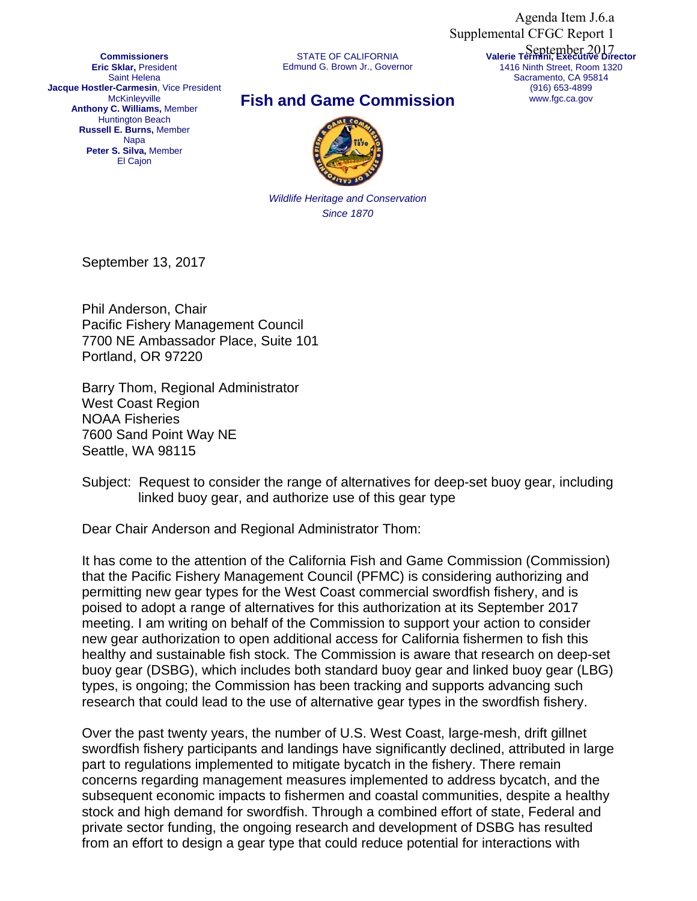Agenda Item J.6.a Supplemental CFGC Report 1

**Commissioners Eric Sklar,** President Saint Helena **Jacque Hostler-Carmesin**, Vice President **McKinleyville Anthony C. Williams,** Member Huntington Beach **Russell E. Burns,** Member Napa **Peter S. Silva,** Member El Cajon

STATE OF CALIFORNIA Edmund G. Brown Jr., Governor **Valerie Termini, Executive Director** September 20171416 Ninth Street, Room 1320 Sacramento, CA 95814 (916) 653-4899 www.fgc.ca.gov

## **Fish and Game Commission**



*Wildlife Heritage and Conservation Since 1870*

September 13, 2017

Phil Anderson, Chair Pacific Fishery Management Council 7700 NE Ambassador Place, Suite 101 Portland, OR 97220

Barry Thom, Regional Administrator West Coast Region NOAA Fisheries 7600 Sand Point Way NE Seattle, WA 98115

Dear Chair Anderson and Regional Administrator Thom:

It has come to the attention of the California Fish and Game Commission (Commission) that the Pacific Fishery Management Council (PFMC) is considering authorizing and permitting new gear types for the West Coast commercial swordfish fishery, and is poised to adopt a range of alternatives for this authorization at its September 2017 meeting. I am writing on behalf of the Commission to support your action to consider new gear authorization to open additional access for California fishermen to fish this healthy and sustainable fish stock. The Commission is aware that research on deep-set buoy gear (DSBG), which includes both standard buoy gear and linked buoy gear (LBG) types, is ongoing; the Commission has been tracking and supports advancing such research that could lead to the use of alternative gear types in the swordfish fishery.

Over the past twenty years, the number of U.S. West Coast, large-mesh, drift gillnet swordfish fishery participants and landings have significantly declined, attributed in large part to regulations implemented to mitigate bycatch in the fishery. There remain concerns regarding management measures implemented to address bycatch, and the subsequent economic impacts to fishermen and coastal communities, despite a healthy stock and high demand for swordfish. Through a combined effort of state, Federal and private sector funding, the ongoing research and development of DSBG has resulted from an effort to design a gear type that could reduce potential for interactions with

Subject: Request to consider the range of alternatives for deep-set buoy gear, including linked buoy gear, and authorize use of this gear type